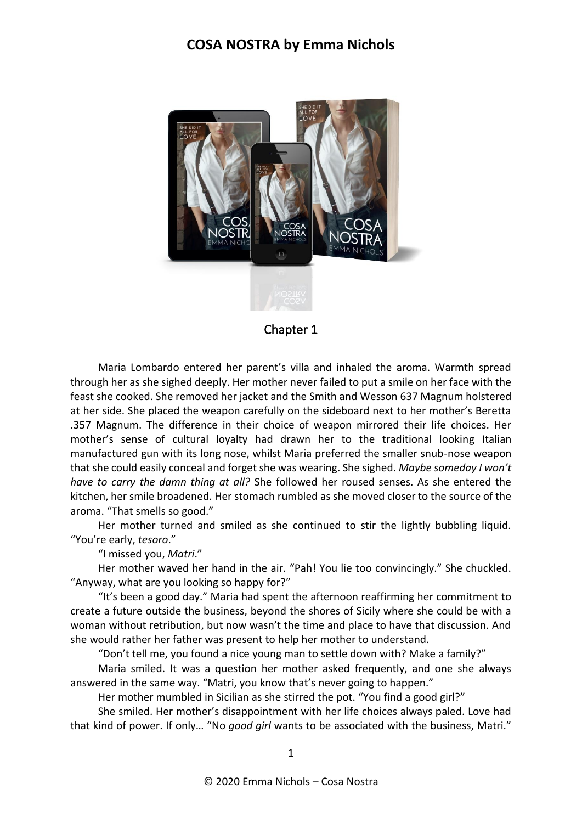

Chapter 1

Maria Lombardo entered her parent's villa and inhaled the aroma. Warmth spread through her as she sighed deeply. Her mother never failed to put a smile on her face with the feast she cooked. She removed her jacket and the Smith and Wesson 637 Magnum holstered at her side. She placed the weapon carefully on the sideboard next to her mother's Beretta .357 Magnum. The difference in their choice of weapon mirrored their life choices. Her mother's sense of cultural loyalty had drawn her to the traditional looking Italian manufactured gun with its long nose, whilst Maria preferred the smaller snub-nose weapon that she could easily conceal and forget she was wearing. She sighed. *Maybe someday I won't have to carry the damn thing at all?* She followed her roused senses. As she entered the kitchen, her smile broadened. Her stomach rumbled as she moved closer to the source of the aroma. "That smells so good."

Her mother turned and smiled as she continued to stir the lightly bubbling liquid. "You're early, *tesoro*."

"I missed you, *Matri*."

Her mother waved her hand in the air. "Pah! You lie too convincingly." She chuckled. "Anyway, what are you looking so happy for?"

"It's been a good day." Maria had spent the afternoon reaffirming her commitment to create a future outside the business, beyond the shores of Sicily where she could be with a woman without retribution, but now wasn't the time and place to have that discussion. And she would rather her father was present to help her mother to understand.

"Don't tell me, you found a nice young man to settle down with? Make a family?"

Maria smiled. It was a question her mother asked frequently, and one she always answered in the same way. "Matri, you know that's never going to happen."

Her mother mumbled in Sicilian as she stirred the pot. "You find a good girl?"

She smiled. Her mother's disappointment with her life choices always paled. Love had that kind of power. If only… "No *good girl* wants to be associated with the business, Matri."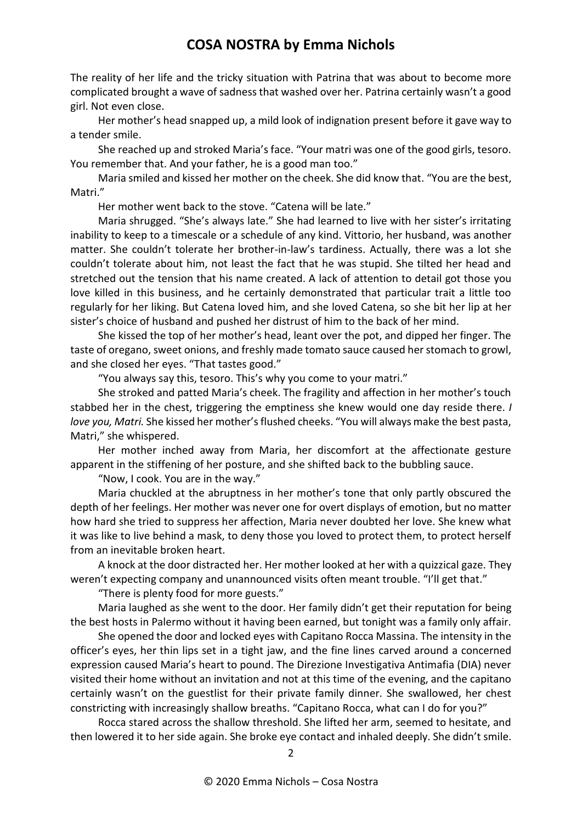The reality of her life and the tricky situation with Patrina that was about to become more complicated brought a wave of sadness that washed over her. Patrina certainly wasn't a good girl. Not even close.

Her mother's head snapped up, a mild look of indignation present before it gave way to a tender smile.

She reached up and stroked Maria's face. "Your matri was one of the good girls, tesoro. You remember that. And your father, he is a good man too."

Maria smiled and kissed her mother on the cheek. She did know that. "You are the best, Matri."

Her mother went back to the stove. "Catena will be late."

Maria shrugged. "She's always late." She had learned to live with her sister's irritating inability to keep to a timescale or a schedule of any kind. Vittorio, her husband, was another matter. She couldn't tolerate her brother-in-law's tardiness. Actually, there was a lot she couldn't tolerate about him, not least the fact that he was stupid. She tilted her head and stretched out the tension that his name created. A lack of attention to detail got those you love killed in this business, and he certainly demonstrated that particular trait a little too regularly for her liking. But Catena loved him, and she loved Catena, so she bit her lip at her sister's choice of husband and pushed her distrust of him to the back of her mind.

She kissed the top of her mother's head, leant over the pot, and dipped her finger. The taste of oregano, sweet onions, and freshly made tomato sauce caused her stomach to growl, and she closed her eyes. "That tastes good."

"You always say this, tesoro. This's why you come to your matri."

She stroked and patted Maria's cheek. The fragility and affection in her mother's touch stabbed her in the chest, triggering the emptiness she knew would one day reside there. *I love you, Matri.* She kissed her mother's flushed cheeks. "You will always make the best pasta, Matri," she whispered.

Her mother inched away from Maria, her discomfort at the affectionate gesture apparent in the stiffening of her posture, and she shifted back to the bubbling sauce.

"Now, I cook. You are in the way."

Maria chuckled at the abruptness in her mother's tone that only partly obscured the depth of her feelings. Her mother was never one for overt displays of emotion, but no matter how hard she tried to suppress her affection, Maria never doubted her love. She knew what it was like to live behind a mask, to deny those you loved to protect them, to protect herself from an inevitable broken heart.

A knock at the door distracted her. Her mother looked at her with a quizzical gaze. They weren't expecting company and unannounced visits often meant trouble. "I'll get that."

"There is plenty food for more guests."

Maria laughed as she went to the door. Her family didn't get their reputation for being the best hosts in Palermo without it having been earned, but tonight was a family only affair.

She opened the door and locked eyes with Capitano Rocca Massina. The intensity in the officer's eyes, her thin lips set in a tight jaw, and the fine lines carved around a concerned expression caused Maria's heart to pound. The Direzione Investigativa Antimafia (DIA) never visited their home without an invitation and not at this time of the evening, and the capitano certainly wasn't on the guestlist for their private family dinner. She swallowed, her chest constricting with increasingly shallow breaths. "Capitano Rocca, what can I do for you?"

Rocca stared across the shallow threshold. She lifted her arm, seemed to hesitate, and then lowered it to her side again. She broke eye contact and inhaled deeply. She didn't smile.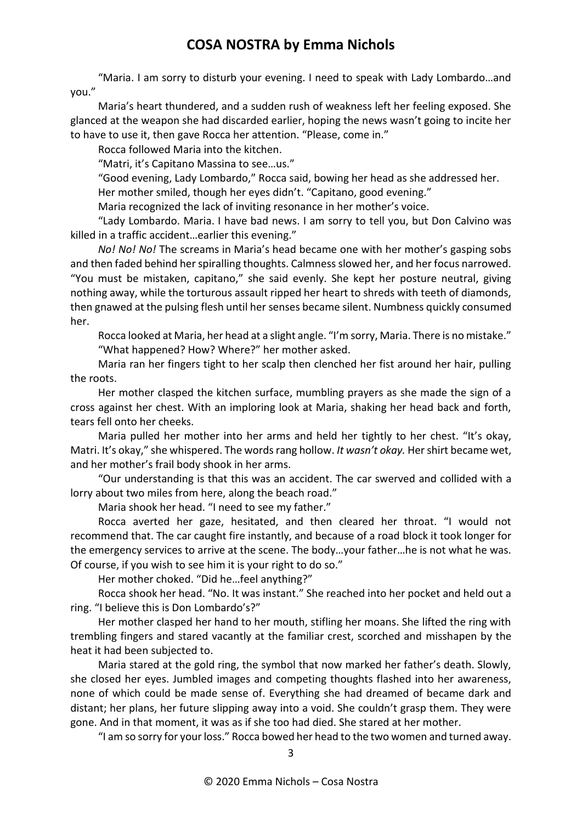"Maria. I am sorry to disturb your evening. I need to speak with Lady Lombardo…and you."

Maria's heart thundered, and a sudden rush of weakness left her feeling exposed. She glanced at the weapon she had discarded earlier, hoping the news wasn't going to incite her to have to use it, then gave Rocca her attention. "Please, come in."

Rocca followed Maria into the kitchen.

"Matri, it's Capitano Massina to see…us."

"Good evening, Lady Lombardo," Rocca said, bowing her head as she addressed her.

Her mother smiled, though her eyes didn't. "Capitano, good evening."

Maria recognized the lack of inviting resonance in her mother's voice.

"Lady Lombardo. Maria. I have bad news. I am sorry to tell you, but Don Calvino was killed in a traffic accident…earlier this evening."

*No! No! No!* The screams in Maria's head became one with her mother's gasping sobs and then faded behind her spiralling thoughts. Calmness slowed her, and her focus narrowed. "You must be mistaken, capitano," she said evenly. She kept her posture neutral, giving nothing away, while the torturous assault ripped her heart to shreds with teeth of diamonds, then gnawed at the pulsing flesh until her senses became silent. Numbness quickly consumed her.

Rocca looked at Maria, her head at a slight angle. "I'm sorry, Maria. There is no mistake." "What happened? How? Where?" her mother asked.

Maria ran her fingers tight to her scalp then clenched her fist around her hair, pulling the roots.

Her mother clasped the kitchen surface, mumbling prayers as she made the sign of a cross against her chest. With an imploring look at Maria, shaking her head back and forth, tears fell onto her cheeks.

Maria pulled her mother into her arms and held her tightly to her chest. "It's okay, Matri. It's okay," she whispered. The words rang hollow. *It wasn't okay.* Her shirt became wet, and her mother's frail body shook in her arms.

"Our understanding is that this was an accident. The car swerved and collided with a lorry about two miles from here, along the beach road."

Maria shook her head. "I need to see my father."

Rocca averted her gaze, hesitated, and then cleared her throat. "I would not recommend that. The car caught fire instantly, and because of a road block it took longer for the emergency services to arrive at the scene. The body…your father…he is not what he was. Of course, if you wish to see him it is your right to do so."

Her mother choked. "Did he…feel anything?"

Rocca shook her head. "No. It was instant." She reached into her pocket and held out a ring. "I believe this is Don Lombardo's?"

Her mother clasped her hand to her mouth, stifling her moans. She lifted the ring with trembling fingers and stared vacantly at the familiar crest, scorched and misshapen by the heat it had been subjected to.

Maria stared at the gold ring, the symbol that now marked her father's death. Slowly, she closed her eyes. Jumbled images and competing thoughts flashed into her awareness, none of which could be made sense of. Everything she had dreamed of became dark and distant; her plans, her future slipping away into a void. She couldn't grasp them. They were gone. And in that moment, it was as if she too had died. She stared at her mother.

"I am so sorry for your loss." Rocca bowed her head to the two women and turned away.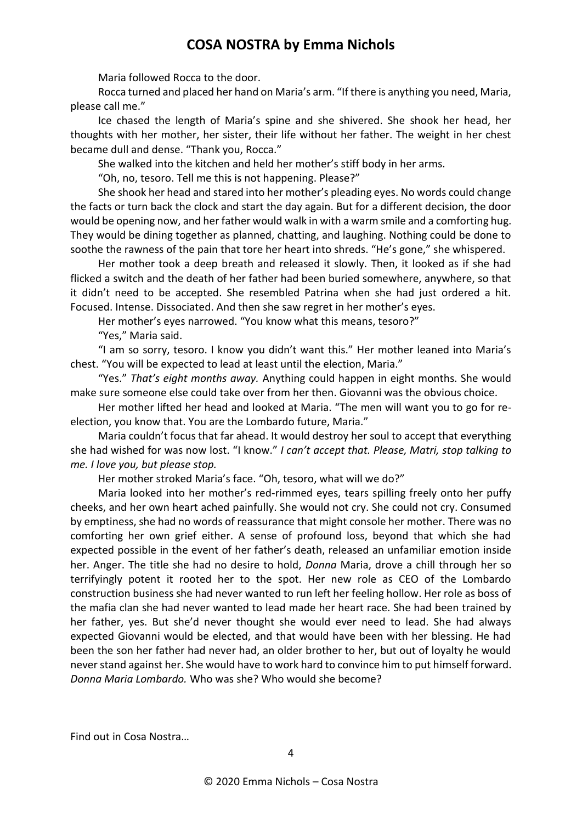Maria followed Rocca to the door.

Rocca turned and placed her hand on Maria's arm. "If there is anything you need, Maria, please call me."

Ice chased the length of Maria's spine and she shivered. She shook her head, her thoughts with her mother, her sister, their life without her father. The weight in her chest became dull and dense. "Thank you, Rocca."

She walked into the kitchen and held her mother's stiff body in her arms.

"Oh, no, tesoro. Tell me this is not happening. Please?"

She shook her head and stared into her mother's pleading eyes. No words could change the facts or turn back the clock and start the day again. But for a different decision, the door would be opening now, and her father would walk in with a warm smile and a comforting hug. They would be dining together as planned, chatting, and laughing. Nothing could be done to soothe the rawness of the pain that tore her heart into shreds. "He's gone," she whispered.

Her mother took a deep breath and released it slowly. Then, it looked as if she had flicked a switch and the death of her father had been buried somewhere, anywhere, so that it didn't need to be accepted. She resembled Patrina when she had just ordered a hit. Focused. Intense. Dissociated. And then she saw regret in her mother's eyes.

Her mother's eyes narrowed. "You know what this means, tesoro?"

"Yes," Maria said.

"I am so sorry, tesoro. I know you didn't want this." Her mother leaned into Maria's chest. "You will be expected to lead at least until the election, Maria."

"Yes." *That's eight months away.* Anything could happen in eight months. She would make sure someone else could take over from her then. Giovanni was the obvious choice.

Her mother lifted her head and looked at Maria. "The men will want you to go for reelection, you know that. You are the Lombardo future, Maria."

Maria couldn't focus that far ahead. It would destroy her soul to accept that everything she had wished for was now lost. "I know." *I can't accept that. Please, Matri, stop talking to me. I love you, but please stop.*

Her mother stroked Maria's face. "Oh, tesoro, what will we do?"

Maria looked into her mother's red-rimmed eyes, tears spilling freely onto her puffy cheeks, and her own heart ached painfully. She would not cry. She could not cry. Consumed by emptiness, she had no words of reassurance that might console her mother. There was no comforting her own grief either. A sense of profound loss, beyond that which she had expected possible in the event of her father's death, released an unfamiliar emotion inside her. Anger. The title she had no desire to hold, *Donna* Maria, drove a chill through her so terrifyingly potent it rooted her to the spot. Her new role as CEO of the Lombardo construction business she had never wanted to run left her feeling hollow. Her role as boss of the mafia clan she had never wanted to lead made her heart race. She had been trained by her father, yes. But she'd never thought she would ever need to lead. She had always expected Giovanni would be elected, and that would have been with her blessing. He had been the son her father had never had, an older brother to her, but out of loyalty he would never stand against her. She would have to work hard to convince him to put himself forward. *Donna Maria Lombardo.* Who was she? Who would she become?

Find out in Cosa Nostra…